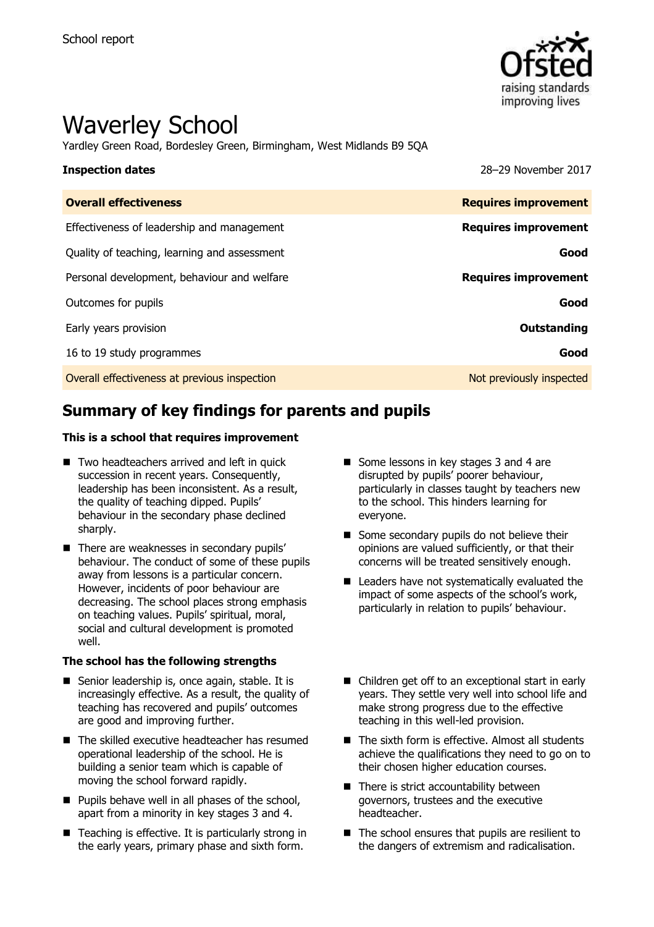

# Waverley School

Yardley Green Road, Bordesley Green, Birmingham, West Midlands B9 5QA

**Inspection dates** 28–29 November 2017

| <b>Overall effectiveness</b>                 | <b>Requires improvement</b> |
|----------------------------------------------|-----------------------------|
| Effectiveness of leadership and management   | <b>Requires improvement</b> |
| Quality of teaching, learning and assessment | Good                        |
| Personal development, behaviour and welfare  | <b>Requires improvement</b> |
| Outcomes for pupils                          | Good                        |
| Early years provision                        | Outstanding                 |
| 16 to 19 study programmes                    | Good                        |
| Overall effectiveness at previous inspection | Not previously inspected    |

# **Summary of key findings for parents and pupils**

### **This is a school that requires improvement**

- Two headteachers arrived and left in quick succession in recent years. Consequently, leadership has been inconsistent. As a result, the quality of teaching dipped. Pupils' behaviour in the secondary phase declined sharply.
- There are weaknesses in secondary pupils' behaviour. The conduct of some of these pupils away from lessons is a particular concern. However, incidents of poor behaviour are decreasing. The school places strong emphasis on teaching values. Pupils' spiritual, moral, social and cultural development is promoted well.

### **The school has the following strengths**

- Senior leadership is, once again, stable. It is increasingly effective. As a result, the quality of teaching has recovered and pupils' outcomes are good and improving further.
- The skilled executive headteacher has resumed operational leadership of the school. He is building a senior team which is capable of moving the school forward rapidly.
- $\blacksquare$  Pupils behave well in all phases of the school, apart from a minority in key stages 3 and 4.
- Teaching is effective. It is particularly strong in the early years, primary phase and sixth form.
- Some lessons in key stages 3 and 4 are disrupted by pupils' poorer behaviour, particularly in classes taught by teachers new to the school. This hinders learning for everyone.
- Some secondary pupils do not believe their opinions are valued sufficiently, or that their concerns will be treated sensitively enough.
- Leaders have not systematically evaluated the impact of some aspects of the school's work, particularly in relation to pupils' behaviour.
- Children get off to an exceptional start in early years. They settle very well into school life and make strong progress due to the effective teaching in this well-led provision.
- $\blacksquare$  The sixth form is effective. Almost all students achieve the qualifications they need to go on to their chosen higher education courses.
- There is strict accountability between governors, trustees and the executive headteacher.
- The school ensures that pupils are resilient to the dangers of extremism and radicalisation.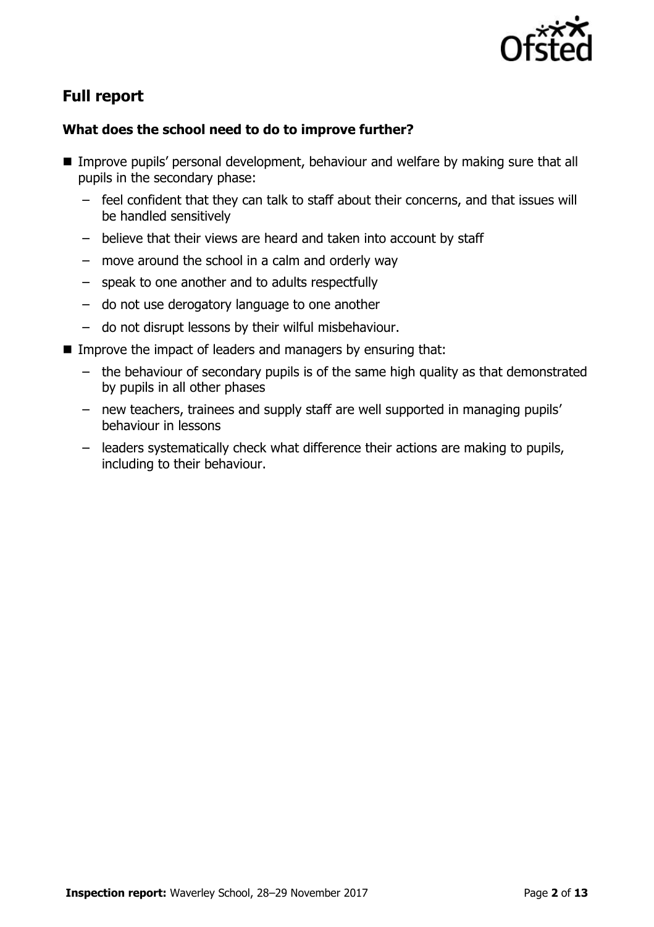

# **Full report**

### **What does the school need to do to improve further?**

- **IMPROVE PUPILS' personal development, behaviour and welfare by making sure that all** pupils in the secondary phase:
	- feel confident that they can talk to staff about their concerns, and that issues will be handled sensitively
	- believe that their views are heard and taken into account by staff
	- move around the school in a calm and orderly way
	- speak to one another and to adults respectfully
	- do not use derogatory language to one another
	- do not disrupt lessons by their wilful misbehaviour.
- Improve the impact of leaders and managers by ensuring that:
	- the behaviour of secondary pupils is of the same high quality as that demonstrated by pupils in all other phases
	- new teachers, trainees and supply staff are well supported in managing pupils' behaviour in lessons
	- leaders systematically check what difference their actions are making to pupils, including to their behaviour.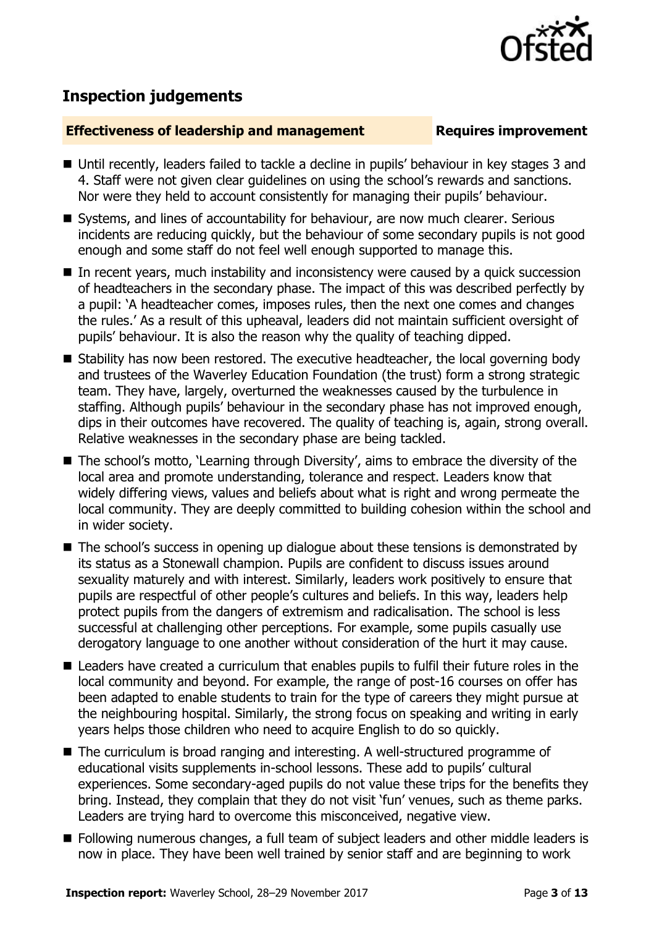

# **Inspection judgements**

### **Effectiveness of leadership and management Requires improvement**

- Until recently, leaders failed to tackle a decline in pupils' behaviour in key stages 3 and 4. Staff were not given clear guidelines on using the school's rewards and sanctions. Nor were they held to account consistently for managing their pupils' behaviour.
- Systems, and lines of accountability for behaviour, are now much clearer. Serious incidents are reducing quickly, but the behaviour of some secondary pupils is not good enough and some staff do not feel well enough supported to manage this.
- In recent years, much instability and inconsistency were caused by a quick succession of headteachers in the secondary phase. The impact of this was described perfectly by a pupil: 'A headteacher comes, imposes rules, then the next one comes and changes the rules.' As a result of this upheaval, leaders did not maintain sufficient oversight of pupils' behaviour. It is also the reason why the quality of teaching dipped.
- Stability has now been restored. The executive headteacher, the local governing body and trustees of the Waverley Education Foundation (the trust) form a strong strategic team. They have, largely, overturned the weaknesses caused by the turbulence in staffing. Although pupils' behaviour in the secondary phase has not improved enough, dips in their outcomes have recovered. The quality of teaching is, again, strong overall. Relative weaknesses in the secondary phase are being tackled.
- The school's motto, 'Learning through Diversity', aims to embrace the diversity of the local area and promote understanding, tolerance and respect. Leaders know that widely differing views, values and beliefs about what is right and wrong permeate the local community. They are deeply committed to building cohesion within the school and in wider society.
- The school's success in opening up dialogue about these tensions is demonstrated by its status as a Stonewall champion. Pupils are confident to discuss issues around sexuality maturely and with interest. Similarly, leaders work positively to ensure that pupils are respectful of other people's cultures and beliefs. In this way, leaders help protect pupils from the dangers of extremism and radicalisation. The school is less successful at challenging other perceptions. For example, some pupils casually use derogatory language to one another without consideration of the hurt it may cause.
- Leaders have created a curriculum that enables pupils to fulfil their future roles in the local community and beyond. For example, the range of post-16 courses on offer has been adapted to enable students to train for the type of careers they might pursue at the neighbouring hospital. Similarly, the strong focus on speaking and writing in early years helps those children who need to acquire English to do so quickly.
- The curriculum is broad ranging and interesting. A well-structured programme of educational visits supplements in-school lessons. These add to pupils' cultural experiences. Some secondary-aged pupils do not value these trips for the benefits they bring. Instead, they complain that they do not visit 'fun' venues, such as theme parks. Leaders are trying hard to overcome this misconceived, negative view.
- Following numerous changes, a full team of subject leaders and other middle leaders is now in place. They have been well trained by senior staff and are beginning to work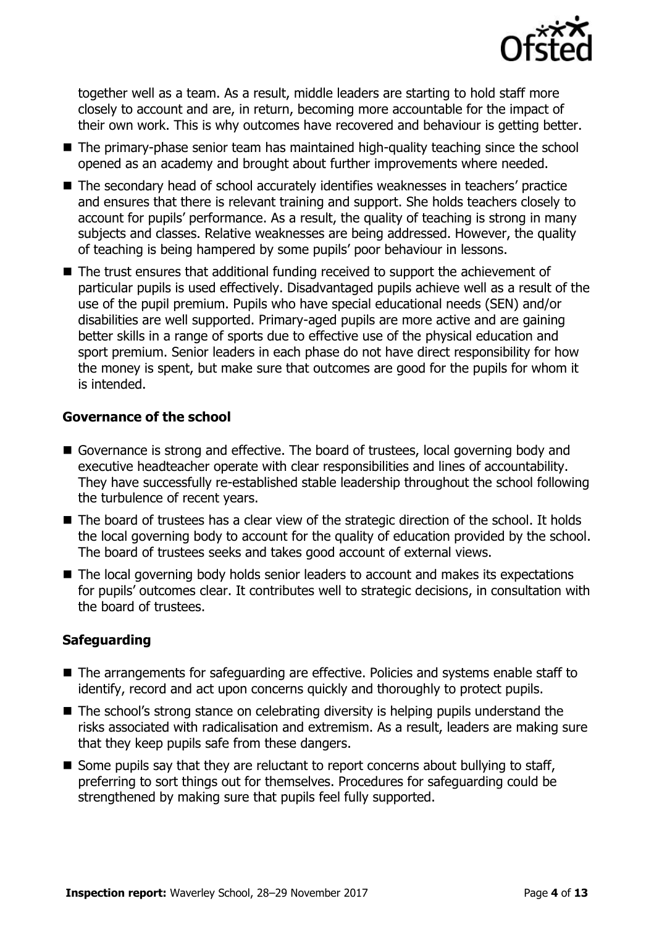

together well as a team. As a result, middle leaders are starting to hold staff more closely to account and are, in return, becoming more accountable for the impact of their own work. This is why outcomes have recovered and behaviour is getting better.

- The primary-phase senior team has maintained high-quality teaching since the school opened as an academy and brought about further improvements where needed.
- The secondary head of school accurately identifies weaknesses in teachers' practice and ensures that there is relevant training and support. She holds teachers closely to account for pupils' performance. As a result, the quality of teaching is strong in many subjects and classes. Relative weaknesses are being addressed. However, the quality of teaching is being hampered by some pupils' poor behaviour in lessons.
- The trust ensures that additional funding received to support the achievement of particular pupils is used effectively. Disadvantaged pupils achieve well as a result of the use of the pupil premium. Pupils who have special educational needs (SEN) and/or disabilities are well supported. Primary-aged pupils are more active and are gaining better skills in a range of sports due to effective use of the physical education and sport premium. Senior leaders in each phase do not have direct responsibility for how the money is spent, but make sure that outcomes are good for the pupils for whom it is intended.

### **Governance of the school**

- Governance is strong and effective. The board of trustees, local governing body and executive headteacher operate with clear responsibilities and lines of accountability. They have successfully re-established stable leadership throughout the school following the turbulence of recent years.
- The board of trustees has a clear view of the strategic direction of the school. It holds the local governing body to account for the quality of education provided by the school. The board of trustees seeks and takes good account of external views.
- The local governing body holds senior leaders to account and makes its expectations for pupils' outcomes clear. It contributes well to strategic decisions, in consultation with the board of trustees.

### **Safeguarding**

- The arrangements for safeguarding are effective. Policies and systems enable staff to identify, record and act upon concerns quickly and thoroughly to protect pupils.
- The school's strong stance on celebrating diversity is helping pupils understand the risks associated with radicalisation and extremism. As a result, leaders are making sure that they keep pupils safe from these dangers.
- $\blacksquare$  Some pupils say that they are reluctant to report concerns about bullying to staff, preferring to sort things out for themselves. Procedures for safeguarding could be strengthened by making sure that pupils feel fully supported.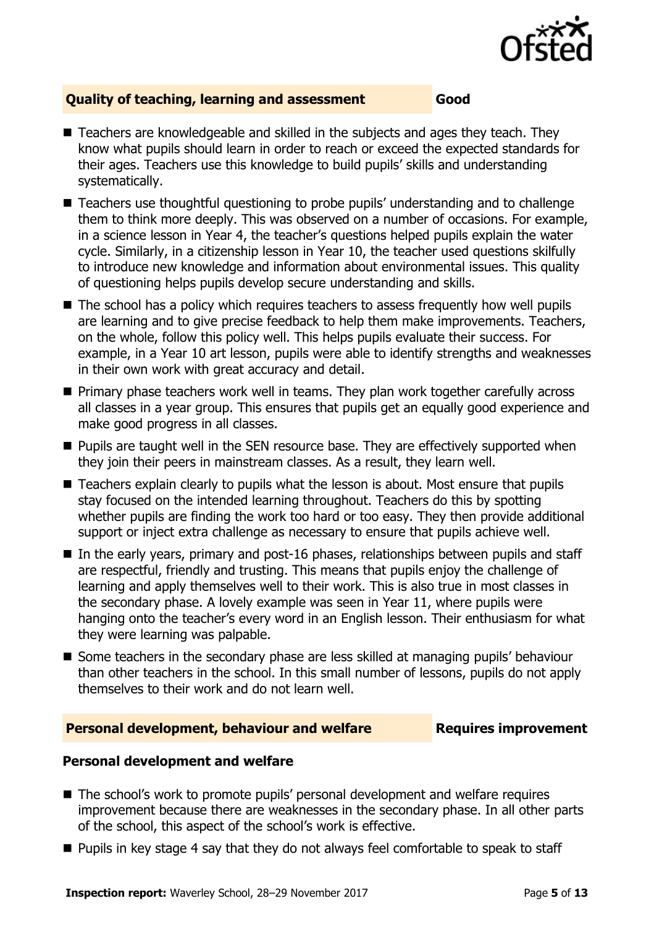

### **Quality of teaching, learning and assessment Good**

- Teachers are knowledgeable and skilled in the subjects and ages they teach. They know what pupils should learn in order to reach or exceed the expected standards for their ages. Teachers use this knowledge to build pupils' skills and understanding systematically.
- Teachers use thoughtful questioning to probe pupils' understanding and to challenge them to think more deeply. This was observed on a number of occasions. For example, in a science lesson in Year 4, the teacher's questions helped pupils explain the water cycle. Similarly, in a citizenship lesson in Year 10, the teacher used questions skilfully to introduce new knowledge and information about environmental issues. This quality of questioning helps pupils develop secure understanding and skills.
- The school has a policy which requires teachers to assess frequently how well pupils are learning and to give precise feedback to help them make improvements. Teachers, on the whole, follow this policy well. This helps pupils evaluate their success. For example, in a Year 10 art lesson, pupils were able to identify strengths and weaknesses in their own work with great accuracy and detail.
- **Primary phase teachers work well in teams. They plan work together carefully across** all classes in a year group. This ensures that pupils get an equally good experience and make good progress in all classes.
- **Pupils are taught well in the SEN resource base. They are effectively supported when** they join their peers in mainstream classes. As a result, they learn well.
- Teachers explain clearly to pupils what the lesson is about. Most ensure that pupils stay focused on the intended learning throughout. Teachers do this by spotting whether pupils are finding the work too hard or too easy. They then provide additional support or inject extra challenge as necessary to ensure that pupils achieve well.
- $\blacksquare$  In the early years, primary and post-16 phases, relationships between pupils and staff are respectful, friendly and trusting. This means that pupils enjoy the challenge of learning and apply themselves well to their work. This is also true in most classes in the secondary phase. A lovely example was seen in Year 11, where pupils were hanging onto the teacher's every word in an English lesson. Their enthusiasm for what they were learning was palpable.
- Some teachers in the secondary phase are less skilled at managing pupils' behaviour than other teachers in the school. In this small number of lessons, pupils do not apply themselves to their work and do not learn well.

### **Personal development, behaviour and welfare <b>Requires improvement**

### **Personal development and welfare**

- The school's work to promote pupils' personal development and welfare requires improvement because there are weaknesses in the secondary phase. In all other parts of the school, this aspect of the school's work is effective.
- **Pupils in key stage 4 say that they do not always feel comfortable to speak to staff**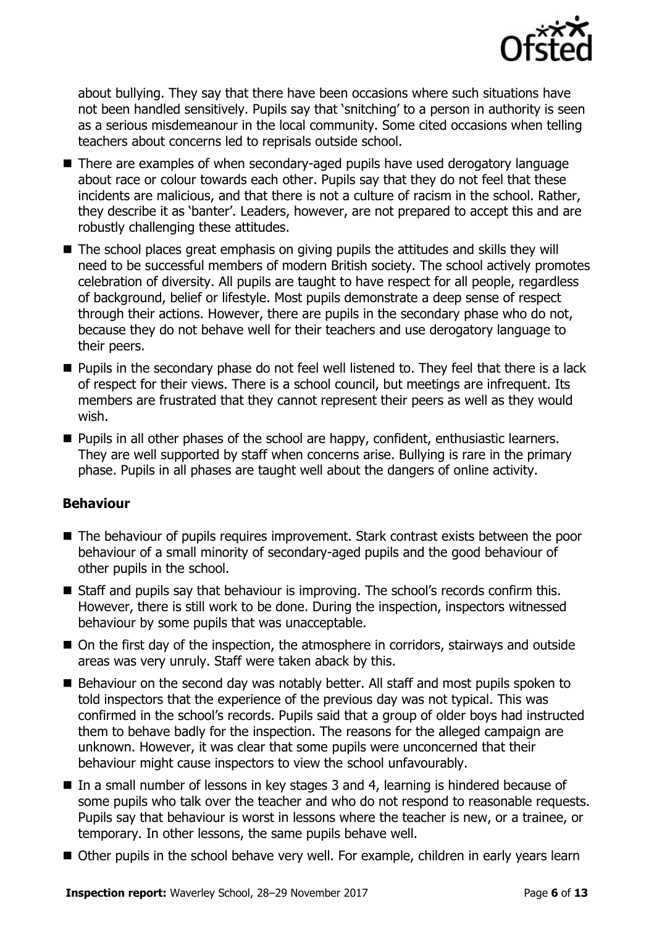

about bullying. They say that there have been occasions where such situations have not been handled sensitively. Pupils say that 'snitching' to a person in authority is seen as a serious misdemeanour in the local community. Some cited occasions when telling teachers about concerns led to reprisals outside school.

- There are examples of when secondary-aged pupils have used derogatory language about race or colour towards each other. Pupils say that they do not feel that these incidents are malicious, and that there is not a culture of racism in the school. Rather, they describe it as 'banter'. Leaders, however, are not prepared to accept this and are robustly challenging these attitudes.
- The school places great emphasis on giving pupils the attitudes and skills they will need to be successful members of modern British society. The school actively promotes celebration of diversity. All pupils are taught to have respect for all people, regardless of background, belief or lifestyle. Most pupils demonstrate a deep sense of respect through their actions. However, there are pupils in the secondary phase who do not, because they do not behave well for their teachers and use derogatory language to their peers.
- **Pupils in the secondary phase do not feel well listened to. They feel that there is a lack** of respect for their views. There is a school council, but meetings are infrequent. Its members are frustrated that they cannot represent their peers as well as they would wish.
- **Pupils in all other phases of the school are happy, confident, enthusiastic learners.** They are well supported by staff when concerns arise. Bullying is rare in the primary phase. Pupils in all phases are taught well about the dangers of online activity.

### **Behaviour**

- The behaviour of pupils requires improvement. Stark contrast exists between the poor behaviour of a small minority of secondary-aged pupils and the good behaviour of other pupils in the school.
- Staff and pupils say that behaviour is improving. The school's records confirm this. However, there is still work to be done. During the inspection, inspectors witnessed behaviour by some pupils that was unacceptable.
- On the first day of the inspection, the atmosphere in corridors, stairways and outside areas was very unruly. Staff were taken aback by this.
- Behaviour on the second day was notably better. All staff and most pupils spoken to told inspectors that the experience of the previous day was not typical. This was confirmed in the school's records. Pupils said that a group of older boys had instructed them to behave badly for the inspection. The reasons for the alleged campaign are unknown. However, it was clear that some pupils were unconcerned that their behaviour might cause inspectors to view the school unfavourably.
- In a small number of lessons in key stages 3 and 4, learning is hindered because of some pupils who talk over the teacher and who do not respond to reasonable requests. Pupils say that behaviour is worst in lessons where the teacher is new, or a trainee, or temporary. In other lessons, the same pupils behave well.
- Other pupils in the school behave very well. For example, children in early years learn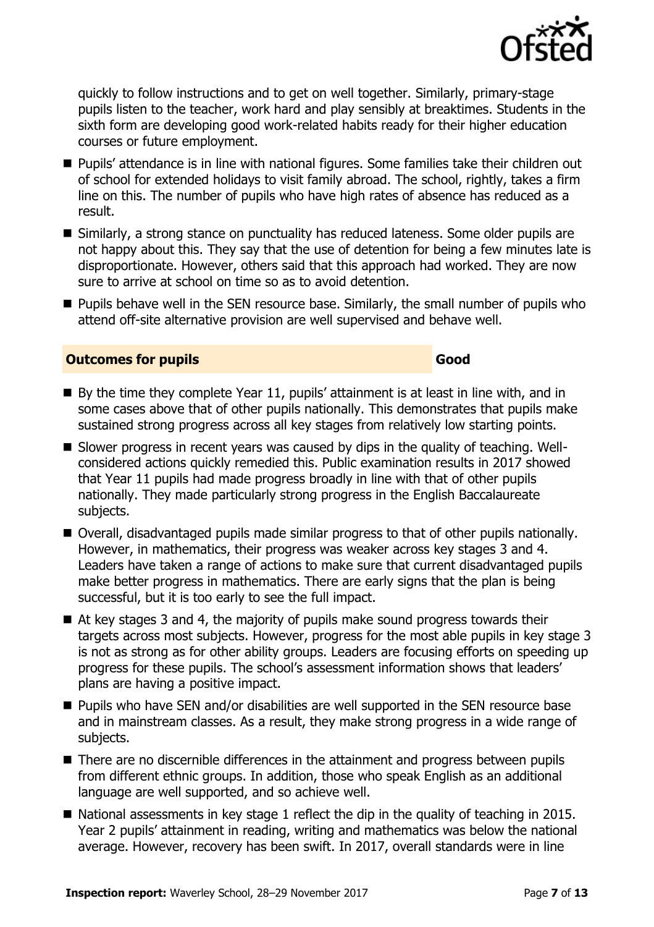

quickly to follow instructions and to get on well together. Similarly, primary-stage pupils listen to the teacher, work hard and play sensibly at breaktimes. Students in the sixth form are developing good work-related habits ready for their higher education courses or future employment.

- Pupils' attendance is in line with national figures. Some families take their children out of school for extended holidays to visit family abroad. The school, rightly, takes a firm line on this. The number of pupils who have high rates of absence has reduced as a result.
- Similarly, a strong stance on punctuality has reduced lateness. Some older pupils are not happy about this. They say that the use of detention for being a few minutes late is disproportionate. However, others said that this approach had worked. They are now sure to arrive at school on time so as to avoid detention.
- **Pupils behave well in the SEN resource base. Similarly, the small number of pupils who** attend off-site alternative provision are well supervised and behave well.

### **Outcomes for pupils Good**

- $\blacksquare$  By the time they complete Year 11, pupils' attainment is at least in line with, and in some cases above that of other pupils nationally. This demonstrates that pupils make sustained strong progress across all key stages from relatively low starting points.
- Slower progress in recent years was caused by dips in the quality of teaching. Wellconsidered actions quickly remedied this. Public examination results in 2017 showed that Year 11 pupils had made progress broadly in line with that of other pupils nationally. They made particularly strong progress in the English Baccalaureate subjects.
- Overall, disadvantaged pupils made similar progress to that of other pupils nationally. However, in mathematics, their progress was weaker across key stages 3 and 4. Leaders have taken a range of actions to make sure that current disadvantaged pupils make better progress in mathematics. There are early signs that the plan is being successful, but it is too early to see the full impact.
- At key stages 3 and 4, the majority of pupils make sound progress towards their targets across most subjects. However, progress for the most able pupils in key stage 3 is not as strong as for other ability groups. Leaders are focusing efforts on speeding up progress for these pupils. The school's assessment information shows that leaders' plans are having a positive impact.
- **Pupils who have SEN and/or disabilities are well supported in the SEN resource base** and in mainstream classes. As a result, they make strong progress in a wide range of subjects.
- There are no discernible differences in the attainment and progress between pupils from different ethnic groups. In addition, those who speak English as an additional language are well supported, and so achieve well.
- National assessments in key stage 1 reflect the dip in the quality of teaching in 2015. Year 2 pupils' attainment in reading, writing and mathematics was below the national average. However, recovery has been swift. In 2017, overall standards were in line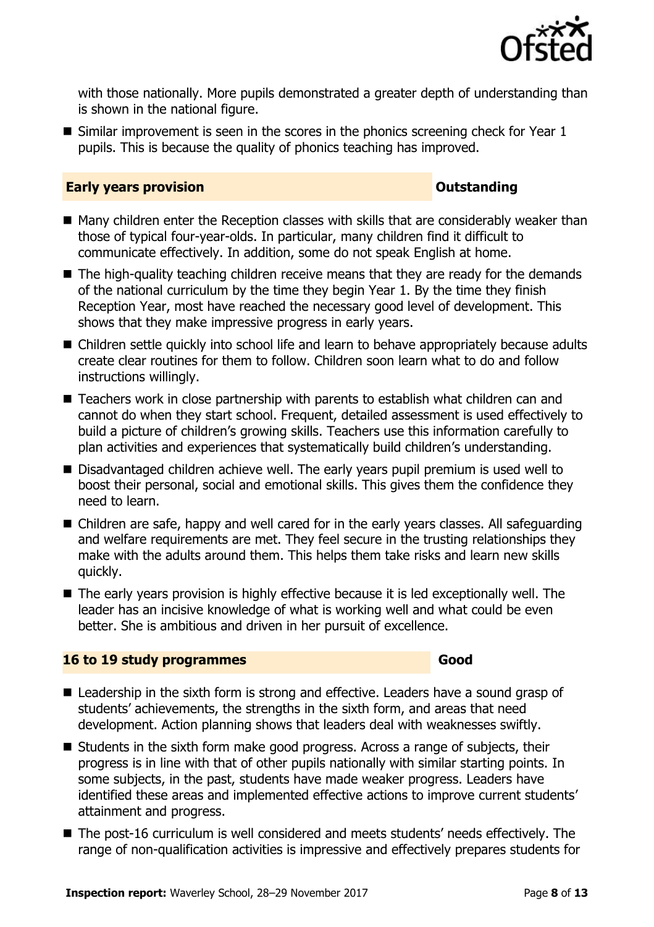

with those nationally. More pupils demonstrated a greater depth of understanding than is shown in the national figure.

 $\blacksquare$  Similar improvement is seen in the scores in the phonics screening check for Year 1 pupils. This is because the quality of phonics teaching has improved.

### **Early years provision CONSTANDING TO A RESEARCH CONSTANDING TO A RESEARCH CONSTANDING TO A RESEARCH CONSTANDING TO A RESEARCH CONSTANDING TO A RESEARCH CONSTANDING TO A RESEARCH CONSTANDING TO A RESEARCH CONSTANDING TO**

- Many children enter the Reception classes with skills that are considerably weaker than those of typical four-year-olds. In particular, many children find it difficult to communicate effectively. In addition, some do not speak English at home.
- The high-quality teaching children receive means that they are ready for the demands of the national curriculum by the time they begin Year 1. By the time they finish Reception Year, most have reached the necessary good level of development. This shows that they make impressive progress in early years.
- Children settle quickly into school life and learn to behave appropriately because adults create clear routines for them to follow. Children soon learn what to do and follow instructions willingly.
- Teachers work in close partnership with parents to establish what children can and cannot do when they start school. Frequent, detailed assessment is used effectively to build a picture of children's growing skills. Teachers use this information carefully to plan activities and experiences that systematically build children's understanding.
- Disadvantaged children achieve well. The early years pupil premium is used well to boost their personal, social and emotional skills. This gives them the confidence they need to learn.
- Children are safe, happy and well cared for in the early years classes. All safequarding and welfare requirements are met. They feel secure in the trusting relationships they make with the adults around them. This helps them take risks and learn new skills quickly.
- The early years provision is highly effective because it is led exceptionally well. The leader has an incisive knowledge of what is working well and what could be even better. She is ambitious and driven in her pursuit of excellence.

### **16 to 19 study programmes Good**

- Leadership in the sixth form is strong and effective. Leaders have a sound grasp of students' achievements, the strengths in the sixth form, and areas that need development. Action planning shows that leaders deal with weaknesses swiftly.
- Students in the sixth form make good progress. Across a range of subjects, their progress is in line with that of other pupils nationally with similar starting points. In some subjects, in the past, students have made weaker progress. Leaders have identified these areas and implemented effective actions to improve current students' attainment and progress.
- The post-16 curriculum is well considered and meets students' needs effectively. The range of non-qualification activities is impressive and effectively prepares students for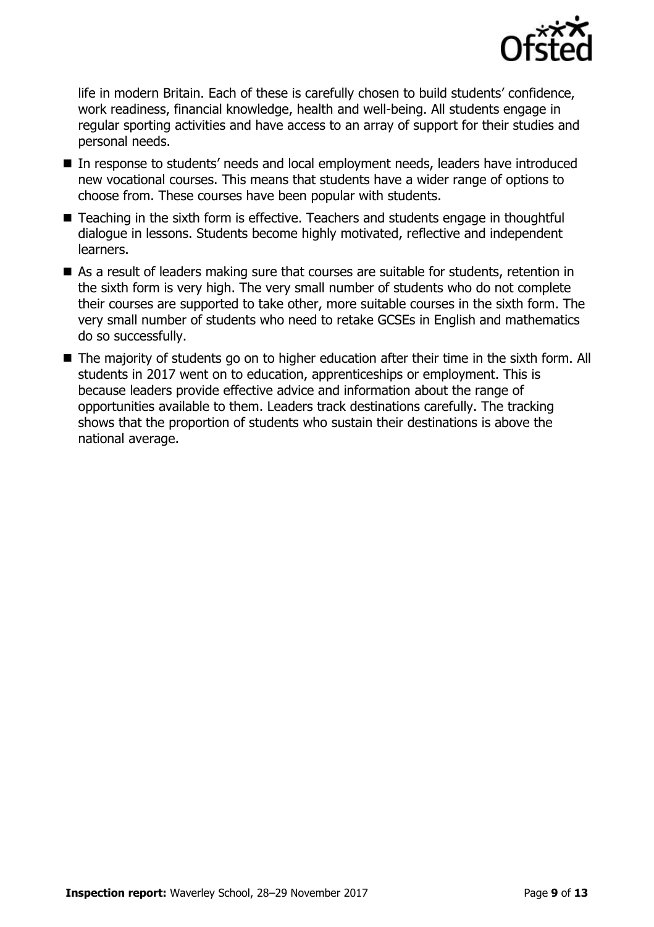

life in modern Britain. Each of these is carefully chosen to build students' confidence, work readiness, financial knowledge, health and well-being. All students engage in regular sporting activities and have access to an array of support for their studies and personal needs.

- In response to students' needs and local employment needs, leaders have introduced new vocational courses. This means that students have a wider range of options to choose from. These courses have been popular with students.
- Teaching in the sixth form is effective. Teachers and students engage in thoughtful dialogue in lessons. Students become highly motivated, reflective and independent learners.
- As a result of leaders making sure that courses are suitable for students, retention in the sixth form is very high. The very small number of students who do not complete their courses are supported to take other, more suitable courses in the sixth form. The very small number of students who need to retake GCSEs in English and mathematics do so successfully.
- The majority of students go on to higher education after their time in the sixth form. All students in 2017 went on to education, apprenticeships or employment. This is because leaders provide effective advice and information about the range of opportunities available to them. Leaders track destinations carefully. The tracking shows that the proportion of students who sustain their destinations is above the national average.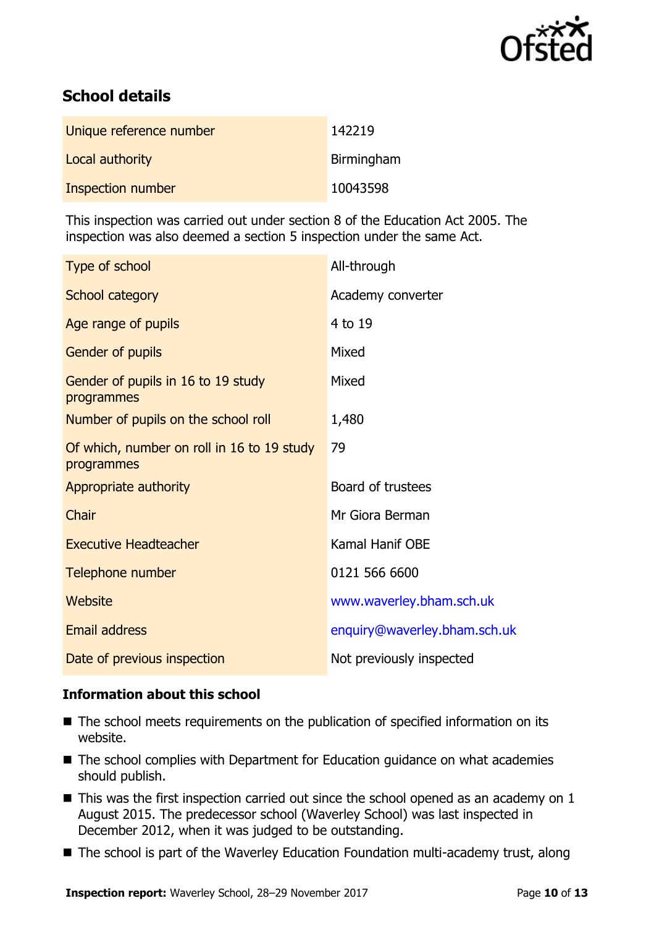

# **School details**

| Unique reference number | 142219            |
|-------------------------|-------------------|
| Local authority         | <b>Birmingham</b> |
| Inspection number       | 10043598          |

This inspection was carried out under section 8 of the Education Act 2005. The inspection was also deemed a section 5 inspection under the same Act.

| Type of school                                           | All-through                  |
|----------------------------------------------------------|------------------------------|
| School category                                          | Academy converter            |
| Age range of pupils                                      | 4 to 19                      |
| Gender of pupils                                         | Mixed                        |
| Gender of pupils in 16 to 19 study<br>programmes         | Mixed                        |
| Number of pupils on the school roll                      | 1,480                        |
| Of which, number on roll in 16 to 19 study<br>programmes | 79                           |
| Appropriate authority                                    | Board of trustees            |
| Chair                                                    | Mr Giora Berman              |
| <b>Executive Headteacher</b>                             | Kamal Hanif OBE              |
| Telephone number                                         | 0121 566 6600                |
| Website                                                  | www.waverley.bham.sch.uk     |
| Email address                                            | enquiry@waverley.bham.sch.uk |
| Date of previous inspection                              | Not previously inspected     |

### **Information about this school**

- The school meets requirements on the publication of specified information on its website.
- The school complies with Department for Education guidance on what academies should publish.
- $\blacksquare$  This was the first inspection carried out since the school opened as an academy on 1 August 2015. The predecessor school (Waverley School) was last inspected in December 2012, when it was judged to be outstanding.
- The school is part of the Waverley Education Foundation multi-academy trust, along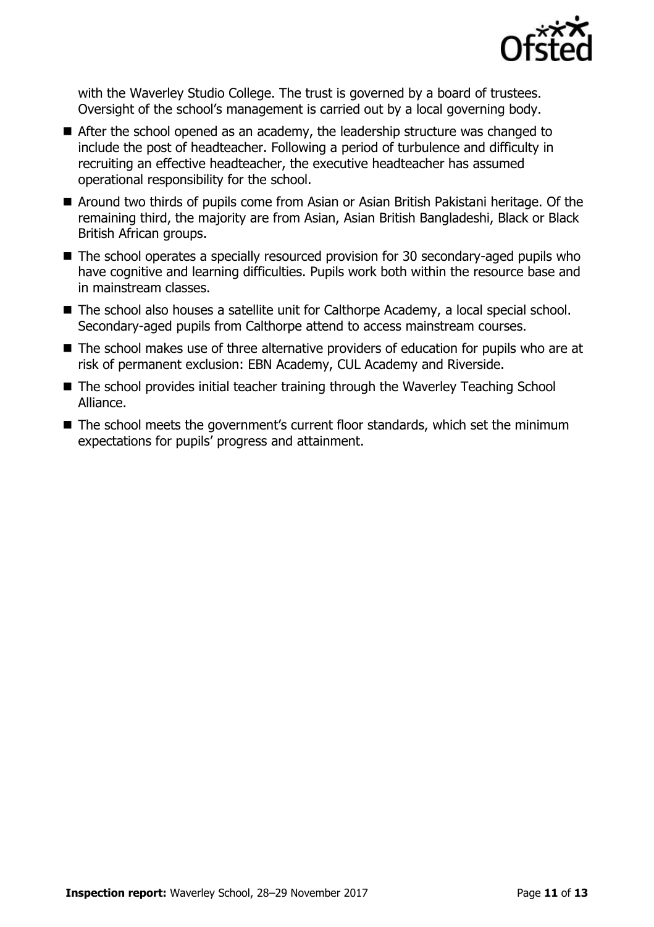

with the Waverley Studio College. The trust is governed by a board of trustees. Oversight of the school's management is carried out by a local governing body.

- After the school opened as an academy, the leadership structure was changed to include the post of headteacher. Following a period of turbulence and difficulty in recruiting an effective headteacher, the executive headteacher has assumed operational responsibility for the school.
- Around two thirds of pupils come from Asian or Asian British Pakistani heritage. Of the remaining third, the majority are from Asian, Asian British Bangladeshi, Black or Black British African groups.
- The school operates a specially resourced provision for 30 secondary-aged pupils who have cognitive and learning difficulties. Pupils work both within the resource base and in mainstream classes.
- The school also houses a satellite unit for Calthorpe Academy, a local special school. Secondary-aged pupils from Calthorpe attend to access mainstream courses.
- The school makes use of three alternative providers of education for pupils who are at risk of permanent exclusion: EBN Academy, CUL Academy and Riverside.
- The school provides initial teacher training through the Waverley Teaching School Alliance.
- The school meets the government's current floor standards, which set the minimum expectations for pupils' progress and attainment.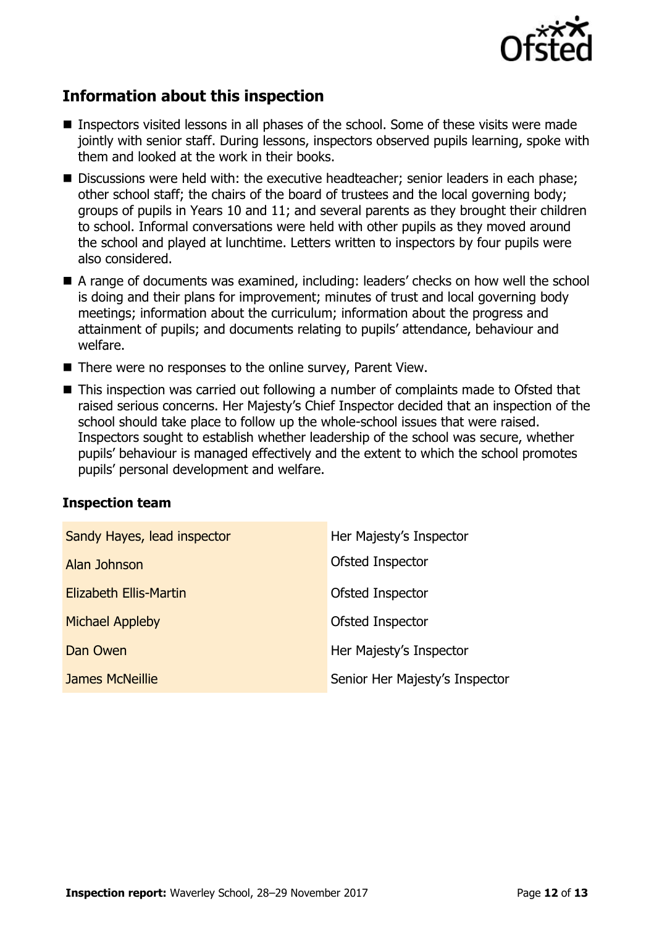

# **Information about this inspection**

- Inspectors visited lessons in all phases of the school. Some of these visits were made jointly with senior staff. During lessons, inspectors observed pupils learning, spoke with them and looked at the work in their books.
- Discussions were held with: the executive headteacher; senior leaders in each phase; other school staff; the chairs of the board of trustees and the local governing body; groups of pupils in Years 10 and 11; and several parents as they brought their children to school. Informal conversations were held with other pupils as they moved around the school and played at lunchtime. Letters written to inspectors by four pupils were also considered.
- A range of documents was examined, including: leaders' checks on how well the school is doing and their plans for improvement; minutes of trust and local governing body meetings; information about the curriculum; information about the progress and attainment of pupils; and documents relating to pupils' attendance, behaviour and welfare.
- There were no responses to the online survey, Parent View.
- This inspection was carried out following a number of complaints made to Ofsted that raised serious concerns. Her Majesty's Chief Inspector decided that an inspection of the school should take place to follow up the whole-school issues that were raised. Inspectors sought to establish whether leadership of the school was secure, whether pupils' behaviour is managed effectively and the extent to which the school promotes pupils' personal development and welfare.

### **Inspection team**

| Sandy Hayes, lead inspector | Her Majesty's Inspector        |
|-----------------------------|--------------------------------|
| Alan Johnson                | Ofsted Inspector               |
| Elizabeth Ellis-Martin      | Ofsted Inspector               |
| <b>Michael Appleby</b>      | Ofsted Inspector               |
| Dan Owen                    | Her Majesty's Inspector        |
| James McNeillie             | Senior Her Majesty's Inspector |